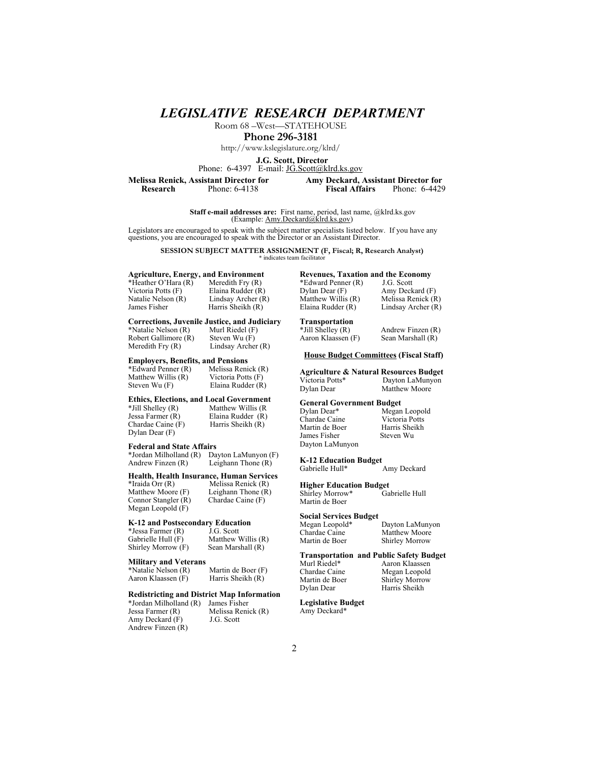*LEGISLATIVE RESEARCH DEPARTMENT*

Room 68 –West—STATEHOUSE

**Phone 296-3181**

http://www.kslegislature.org/klrd/

**J.G. Scott, Director**

Phone: 6-4397 E-mail: JG.Scott@klrd.ks.gov

**Phone: 6-4138** 

**Melissa Renick, Assistant Director for**<br> **Amy Deckard, Assistant Director for<br>
Research** Phone: 6-4138<br> **Amy Deckard, Assistant Director for**<br> **Phone: 6-4429** 

**Staff e-mail addresses are:** First name, period, last name, @klrd.ks.gov (Example: Amy.Deckard@klrd.ks.gov)

Legislators are encouraged to speak with the subject matter specialists listed below. If you have any questions, you are encouraged to speak with the Director or an Assistant Director.

**SESSION SUBJECT MATTER ASSIGNMENT (F, Fiscal; R, Research Analyst)**<br>\* indicates team facilitator

# **Agriculture, Energy, and Environment**

\*Heather O'Hara  $(R)$ <br>Victoria Potts  $(F)$ Natalie Nelson (R) Lindsay Archer (R)<br>James Fisher Harris Sheikh (R)

Elaina Rudder (R) Harris Sheikh  $(R)$ 

# **Corrections, Juvenile Justice, and Judiciary**

\*Natalie Nelson (R) Murl Riedel (F<br>Robert Gallimore (R) Steven Wu (F) Robert Gallimore  $(R)$ <br>Meredith Fry  $(R)$ Lindsay Archer (R)

### **Employers, Benefits, and Pensions**

\*Edward Penner (R) Melissa Renick (R) Matthew Willis  $(R)$  Victoria Potts  $(F)$ <br>Steven Wu  $(F)$  Elaina Rudder  $(R)$ 

Elaina Rudder (R)

### **Ethics, Elections, and Local Government**<br> **Ethill Shelley (R)** Matthew Willis (R)

 $*$ Jill Shelley (R)<br>Jessa Farmer (R) Jessa Farmer (R) Elaina Rudder (R)<br>Chardae Caine (F) Harris Sheikh (R) Dylan Dear (F)

Harris Sheikh  $(R)$ 

#### **Federal and State Affairs**

\*Jordan Milholland (R) Dayton LaMunyon (F) Leighann Thone  $(R)$ 

### **Health, Health Insurance, Human Services**

\*Iraida Orr (R) Melissa Renick (R) Leighann Thone (R)<br>Chardae Caine (F) Connor Stangler  $(R)$ Megan Leopold (F)

### **K-12 and Postsecondary Education**<br>\*Jessa Farmer (R) J.G. Scott

\*Jessa Farmer (R)<br>Gabrielle Hull (F) Shirley Morrow (F) Sean Marshall (R)

**Military and Veterans**

\*Natalie Nelson (R) Martin de Boer (F) Aaron Klaassen (F) Harris Sheikh (R)

#### **Redistricting and District Map Information**

\*Jordan Milholland (R) James Fisher Jessa Farmer (R) Melissa Renick (R)<br>Amy Deckard (F) J.G. Scott Amy Deckard  $(F)$ Andrew Finzen (R)

Matthew Willis (R)

### **Revenues, Taxation and the Economy**<br>\*Edward Penner (R) J.G. Scott

\*Edward Penner (R)<br>Dylan Dear (F) Amy Deckard (F) Matthew Willis (R) Melissa Renick (R)<br>Elaina Rudder (R) Lindsay Archer (R) Lindsay Archer (R)

# **Transportation**

Aaron Klaassen (F)

#### **House Budget Committees (Fiscal Staff)**

**Agriculture & Natural Resources Budget**  Victoria Potts\* Dayton LaMunyon Matthew Moore

#### **General Government Budget**

Megan Leopold Victoria Potts Harris Sheikh Steven Wu

Andrew Finzen (R)<br>Sean Marshall (R)

**K-12 Education Budget**  Amy Deckard

**Higher Education Budget**  Shirley Morrow\* Martin de Boer

#### **Social Services Budget**

Chardae Caine Matthew Moore<br>
Martin de Boer Shirley Morrow

Megan Leopold\* Dayton LaMunyon<br>Chardae Caine Matthew Moore Shirley Morrow

# **Transportation and Public Safety Budget**

Dylan Dear Harris Sheikh

Murl Riedel\* Aaron Klaassen<br>Chardae Caine Megan Leopold Chardae Caine Megan Leopold<br>Martin de Boer Shirley Morrow Shirley Morrow

#### **Legislative Budget**  Amy Deckard\*